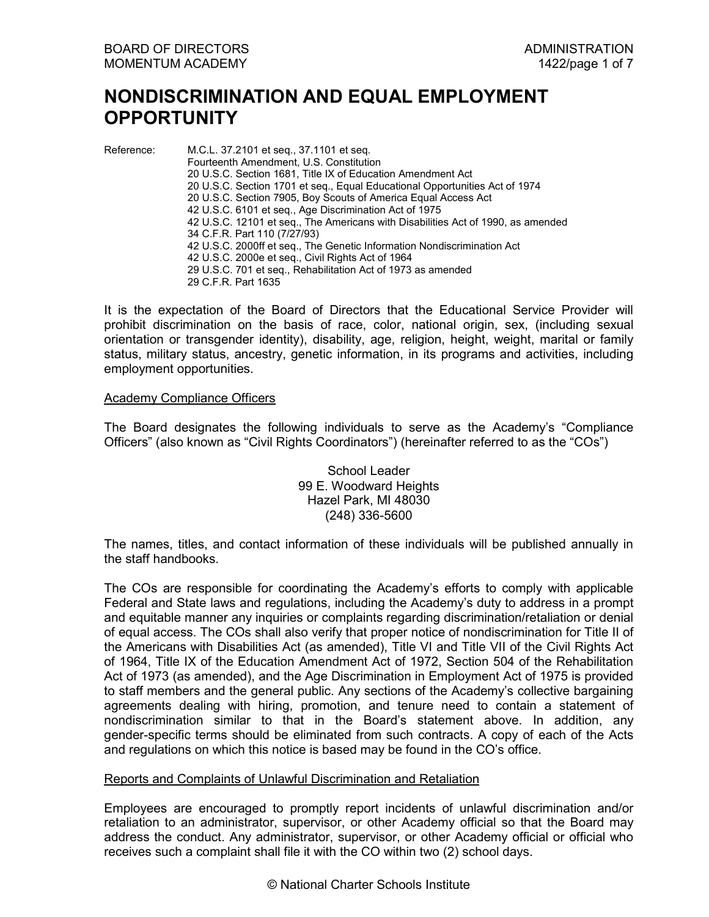# **NONDISCRIMINATION AND EQUAL EMPLOYMENT OPPORTUNITY**

Reference: M.C.L. 37.2101 et seq., 37.1101 et seq. Fourteenth Amendment, U.S. Constitution 20 U.S.C. Section 1681, Title IX of Education Amendment Act 20 U.S.C. Section 1701 et seq., Equal Educational Opportunities Act of 1974 20 U.S.C. Section 7905, Boy Scouts of America Equal Access Act 42 U.S.C. 6101 et seq., Age Discrimination Act of 1975 42 U.S.C. 12101 et seq., The Americans with Disabilities Act of 1990, as amended 34 C.F.R. Part 110 (7/27/93) 42 U.S.C. 2000ff et seq., The Genetic Information Nondiscrimination Act 42 U.S.C. 2000e et seq., Civil Rights Act of 1964 29 U.S.C. 701 et seq., Rehabilitation Act of 1973 as amended 29 C.F.R. Part 1635

It is the expectation of the Board of Directors that the Educational Service Provider will prohibit discrimination on the basis of race, color, national origin, sex, (including sexual orientation or transgender identity), disability, age, religion, height, weight, marital or family status, military status, ancestry, genetic information, in its programs and activities, including employment opportunities.

# Academy Compliance Officers

The Board designates the following individuals to serve as the Academy's "Compliance Officers" (also known as "Civil Rights Coordinators") (hereinafter referred to as the "COs")

> School Leader 99 E. Woodward Heights Hazel Park, MI 48030 (248) 336-5600

The names, titles, and contact information of these individuals will be published annually in the staff handbooks.

The COs are responsible for coordinating the Academy's efforts to comply with applicable Federal and State laws and regulations, including the Academy's duty to address in a prompt and equitable manner any inquiries or complaints regarding discrimination/retaliation or denial of equal access. The COs shall also verify that proper notice of nondiscrimination for Title II of the Americans with Disabilities Act (as amended), Title VI and Title VII of the Civil Rights Act of 1964, Title IX of the Education Amendment Act of 1972, Section 504 of the Rehabilitation Act of 1973 (as amended), and the Age Discrimination in Employment Act of 1975 is provided to staff members and the general public. Any sections of the Academy's collective bargaining agreements dealing with hiring, promotion, and tenure need to contain a statement of nondiscrimination similar to that in the Board's statement above. In addition, any gender-specific terms should be eliminated from such contracts. A copy of each of the Acts and regulations on which this notice is based may be found in the CO's office.

#### Reports and Complaints of Unlawful Discrimination and Retaliation

Employees are encouraged to promptly report incidents of unlawful discrimination and/or retaliation to an administrator, supervisor, or other Academy official so that the Board may address the conduct. Any administrator, supervisor, or other Academy official or official who receives such a complaint shall file it with the CO within two (2) school days.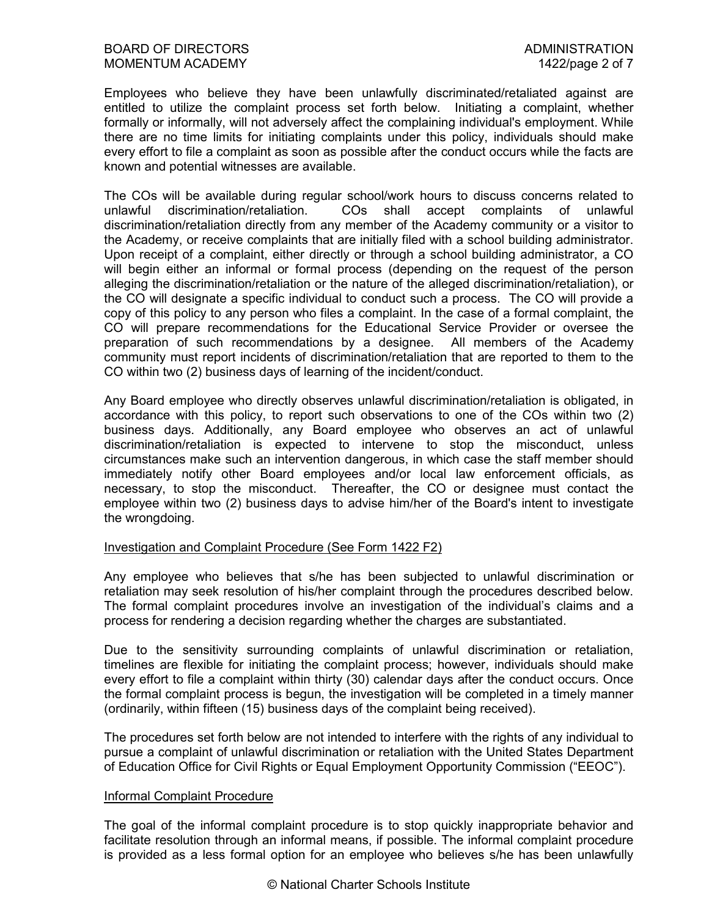Employees who believe they have been unlawfully discriminated/retaliated against are entitled to utilize the complaint process set forth below. Initiating a complaint, whether formally or informally, will not adversely affect the complaining individual's employment. While there are no time limits for initiating complaints under this policy, individuals should make every effort to file a complaint as soon as possible after the conduct occurs while the facts are known and potential witnesses are available.

The COs will be available during regular school/work hours to discuss concerns related to unlawful discrimination/retaliation. COs shall accept complaints of unlawful discrimination/retaliation directly from any member of the Academy community or a visitor to the Academy, or receive complaints that are initially filed with a school building administrator. Upon receipt of a complaint, either directly or through a school building administrator, a CO will begin either an informal or formal process (depending on the request of the person alleging the discrimination/retaliation or the nature of the alleged discrimination/retaliation), or the CO will designate a specific individual to conduct such a process. The CO will provide a copy of this policy to any person who files a complaint. In the case of a formal complaint, the CO will prepare recommendations for the Educational Service Provider or oversee the preparation of such recommendations by a designee. All members of the Academy community must report incidents of discrimination/retaliation that are reported to them to the CO within two (2) business days of learning of the incident/conduct.

Any Board employee who directly observes unlawful discrimination/retaliation is obligated, in accordance with this policy, to report such observations to one of the COs within two (2) business days. Additionally, any Board employee who observes an act of unlawful discrimination/retaliation is expected to intervene to stop the misconduct, unless circumstances make such an intervention dangerous, in which case the staff member should immediately notify other Board employees and/or local law enforcement officials, as necessary, to stop the misconduct. Thereafter, the CO or designee must contact the employee within two (2) business days to advise him/her of the Board's intent to investigate the wrongdoing.

# Investigation and Complaint Procedure (See Form 1422 F2)

Any employee who believes that s/he has been subjected to unlawful discrimination or retaliation may seek resolution of his/her complaint through the procedures described below. The formal complaint procedures involve an investigation of the individual's claims and a process for rendering a decision regarding whether the charges are substantiated.

Due to the sensitivity surrounding complaints of unlawful discrimination or retaliation, timelines are flexible for initiating the complaint process; however, individuals should make every effort to file a complaint within thirty (30) calendar days after the conduct occurs. Once the formal complaint process is begun, the investigation will be completed in a timely manner (ordinarily, within fifteen (15) business days of the complaint being received).

The procedures set forth below are not intended to interfere with the rights of any individual to pursue a complaint of unlawful discrimination or retaliation with the United States Department of Education Office for Civil Rights or Equal Employment Opportunity Commission ("EEOC").

#### Informal Complaint Procedure

The goal of the informal complaint procedure is to stop quickly inappropriate behavior and facilitate resolution through an informal means, if possible. The informal complaint procedure is provided as a less formal option for an employee who believes s/he has been unlawfully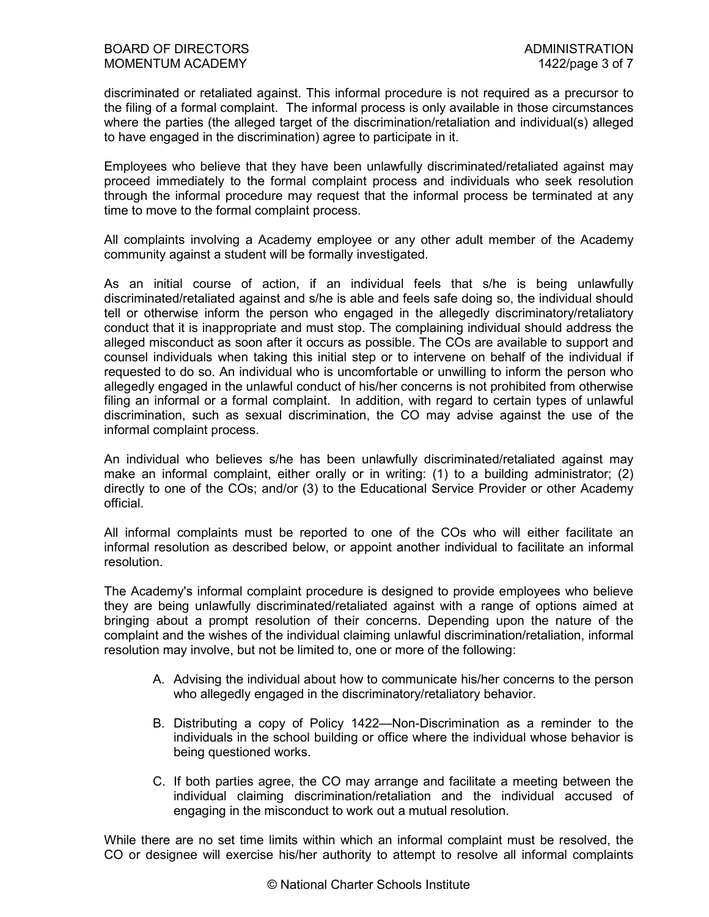discriminated or retaliated against. This informal procedure is not required as a precursor to the filing of a formal complaint. The informal process is only available in those circumstances where the parties (the alleged target of the discrimination/retaliation and individual(s) alleged to have engaged in the discrimination) agree to participate in it.

Employees who believe that they have been unlawfully discriminated/retaliated against may proceed immediately to the formal complaint process and individuals who seek resolution through the informal procedure may request that the informal process be terminated at any time to move to the formal complaint process.

All complaints involving a Academy employee or any other adult member of the Academy community against a student will be formally investigated.

As an initial course of action, if an individual feels that s/he is being unlawfully discriminated/retaliated against and s/he is able and feels safe doing so, the individual should tell or otherwise inform the person who engaged in the allegedly discriminatory/retaliatory conduct that it is inappropriate and must stop. The complaining individual should address the alleged misconduct as soon after it occurs as possible. The COs are available to support and counsel individuals when taking this initial step or to intervene on behalf of the individual if requested to do so. An individual who is uncomfortable or unwilling to inform the person who allegedly engaged in the unlawful conduct of his/her concerns is not prohibited from otherwise filing an informal or a formal complaint. In addition, with regard to certain types of unlawful discrimination, such as sexual discrimination, the CO may advise against the use of the informal complaint process.

An individual who believes s/he has been unlawfully discriminated/retaliated against may make an informal complaint, either orally or in writing: (1) to a building administrator; (2) directly to one of the COs; and/or (3) to the Educational Service Provider or other Academy official.

All informal complaints must be reported to one of the COs who will either facilitate an informal resolution as described below, or appoint another individual to facilitate an informal resolution.

The Academy's informal complaint procedure is designed to provide employees who believe they are being unlawfully discriminated/retaliated against with a range of options aimed at bringing about a prompt resolution of their concerns. Depending upon the nature of the complaint and the wishes of the individual claiming unlawful discrimination/retaliation, informal resolution may involve, but not be limited to, one or more of the following:

- A. Advising the individual about how to communicate his/her concerns to the person who allegedly engaged in the discriminatory/retaliatory behavior.
- B. Distributing a copy of Policy 1422—Non-Discrimination as a reminder to the individuals in the school building or office where the individual whose behavior is being questioned works.
- C. If both parties agree, the CO may arrange and facilitate a meeting between the individual claiming discrimination/retaliation and the individual accused of engaging in the misconduct to work out a mutual resolution.

While there are no set time limits within which an informal complaint must be resolved, the CO or designee will exercise his/her authority to attempt to resolve all informal complaints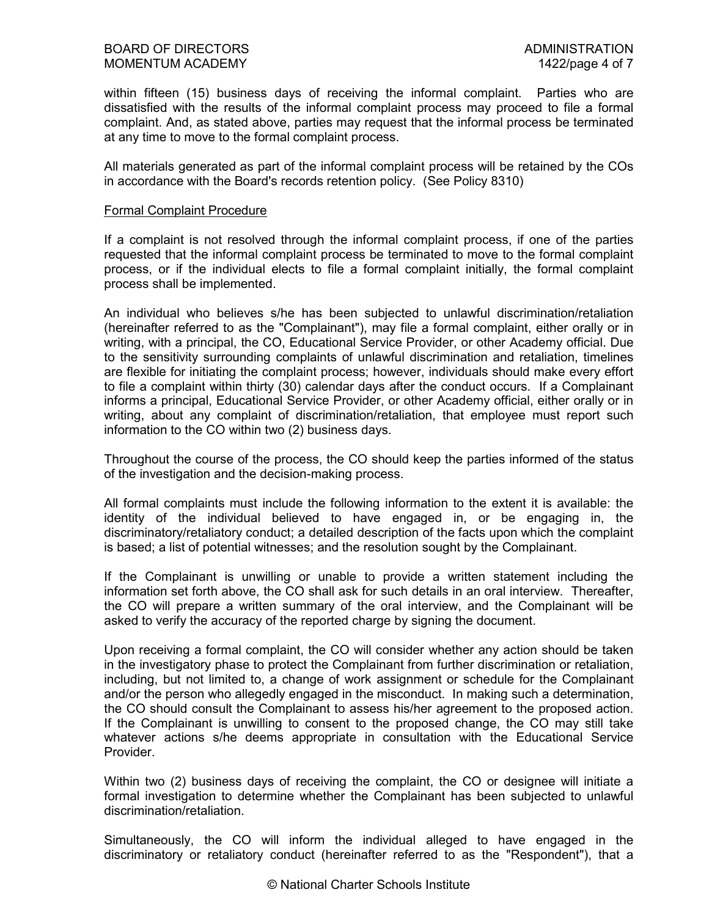within fifteen (15) business days of receiving the informal complaint. Parties who are dissatisfied with the results of the informal complaint process may proceed to file a formal complaint. And, as stated above, parties may request that the informal process be terminated at any time to move to the formal complaint process.

All materials generated as part of the informal complaint process will be retained by the COs in accordance with the Board's records retention policy. (See Policy 8310)

#### Formal Complaint Procedure

If a complaint is not resolved through the informal complaint process, if one of the parties requested that the informal complaint process be terminated to move to the formal complaint process, or if the individual elects to file a formal complaint initially, the formal complaint process shall be implemented.

An individual who believes s/he has been subjected to unlawful discrimination/retaliation (hereinafter referred to as the "Complainant"), may file a formal complaint, either orally or in writing, with a principal, the CO, Educational Service Provider, or other Academy official. Due to the sensitivity surrounding complaints of unlawful discrimination and retaliation, timelines are flexible for initiating the complaint process; however, individuals should make every effort to file a complaint within thirty (30) calendar days after the conduct occurs. If a Complainant informs a principal, Educational Service Provider, or other Academy official, either orally or in writing, about any complaint of discrimination/retaliation, that employee must report such information to the CO within two (2) business days.

Throughout the course of the process, the CO should keep the parties informed of the status of the investigation and the decision-making process.

All formal complaints must include the following information to the extent it is available: the identity of the individual believed to have engaged in, or be engaging in, the discriminatory/retaliatory conduct; a detailed description of the facts upon which the complaint is based; a list of potential witnesses; and the resolution sought by the Complainant.

If the Complainant is unwilling or unable to provide a written statement including the information set forth above, the CO shall ask for such details in an oral interview. Thereafter, the CO will prepare a written summary of the oral interview, and the Complainant will be asked to verify the accuracy of the reported charge by signing the document.

Upon receiving a formal complaint, the CO will consider whether any action should be taken in the investigatory phase to protect the Complainant from further discrimination or retaliation, including, but not limited to, a change of work assignment or schedule for the Complainant and/or the person who allegedly engaged in the misconduct. In making such a determination, the CO should consult the Complainant to assess his/her agreement to the proposed action. If the Complainant is unwilling to consent to the proposed change, the CO may still take whatever actions s/he deems appropriate in consultation with the Educational Service Provider.

Within two (2) business days of receiving the complaint, the CO or designee will initiate a formal investigation to determine whether the Complainant has been subjected to unlawful discrimination/retaliation.

Simultaneously, the CO will inform the individual alleged to have engaged in the discriminatory or retaliatory conduct (hereinafter referred to as the "Respondent"), that a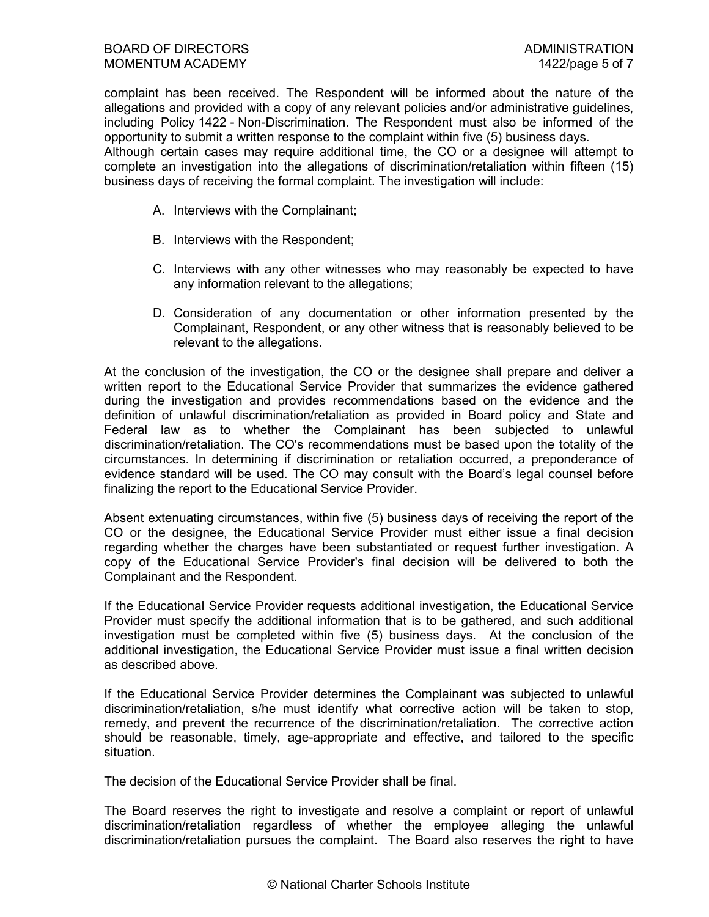complaint has been received. The Respondent will be informed about the nature of the allegations and provided with a copy of any relevant policies and/or administrative guidelines, including Policy 1422 - Non-Discrimination. The Respondent must also be informed of the opportunity to submit a written response to the complaint within five (5) business days.

Although certain cases may require additional time, the CO or a designee will attempt to complete an investigation into the allegations of discrimination/retaliation within fifteen (15) business days of receiving the formal complaint. The investigation will include:

- A. Interviews with the Complainant;
- B. Interviews with the Respondent;
- C. Interviews with any other witnesses who may reasonably be expected to have any information relevant to the allegations;
- D. Consideration of any documentation or other information presented by the Complainant, Respondent, or any other witness that is reasonably believed to be relevant to the allegations.

At the conclusion of the investigation, the CO or the designee shall prepare and deliver a written report to the Educational Service Provider that summarizes the evidence gathered during the investigation and provides recommendations based on the evidence and the definition of unlawful discrimination/retaliation as provided in Board policy and State and Federal law as to whether the Complainant has been subjected to unlawful discrimination/retaliation. The CO's recommendations must be based upon the totality of the circumstances. In determining if discrimination or retaliation occurred, a preponderance of evidence standard will be used. The CO may consult with the Board's legal counsel before finalizing the report to the Educational Service Provider.

Absent extenuating circumstances, within five (5) business days of receiving the report of the CO or the designee, the Educational Service Provider must either issue a final decision regarding whether the charges have been substantiated or request further investigation. A copy of the Educational Service Provider's final decision will be delivered to both the Complainant and the Respondent.

If the Educational Service Provider requests additional investigation, the Educational Service Provider must specify the additional information that is to be gathered, and such additional investigation must be completed within five (5) business days. At the conclusion of the additional investigation, the Educational Service Provider must issue a final written decision as described above.

If the Educational Service Provider determines the Complainant was subjected to unlawful discrimination/retaliation, s/he must identify what corrective action will be taken to stop, remedy, and prevent the recurrence of the discrimination/retaliation. The corrective action should be reasonable, timely, age-appropriate and effective, and tailored to the specific situation.

The decision of the Educational Service Provider shall be final.

The Board reserves the right to investigate and resolve a complaint or report of unlawful discrimination/retaliation regardless of whether the employee alleging the unlawful discrimination/retaliation pursues the complaint. The Board also reserves the right to have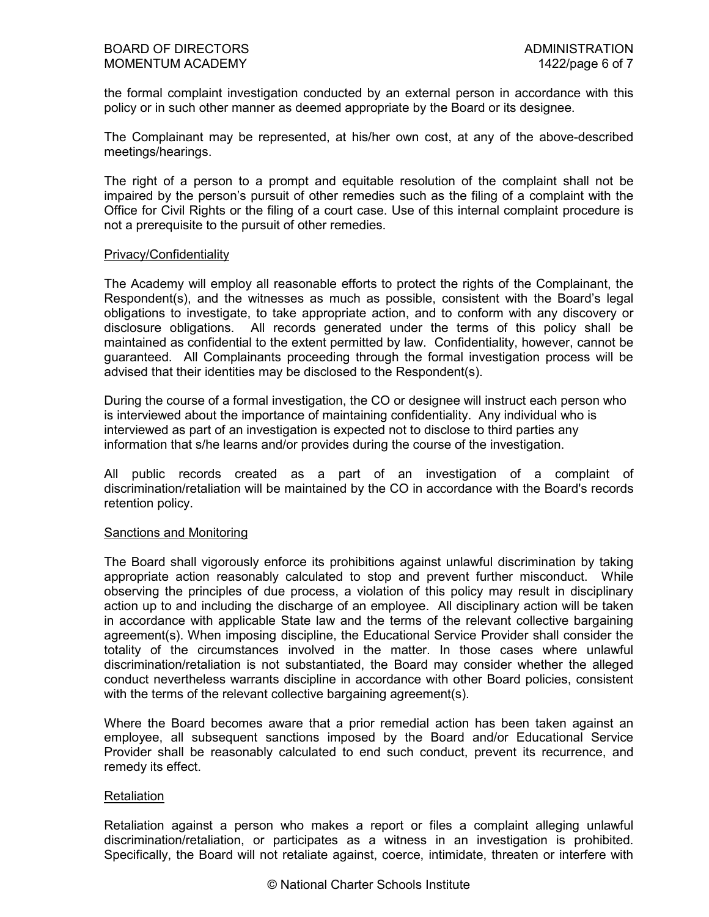the formal complaint investigation conducted by an external person in accordance with this policy or in such other manner as deemed appropriate by the Board or its designee.

The Complainant may be represented, at his/her own cost, at any of the above-described meetings/hearings.

The right of a person to a prompt and equitable resolution of the complaint shall not be impaired by the person's pursuit of other remedies such as the filing of a complaint with the Office for Civil Rights or the filing of a court case. Use of this internal complaint procedure is not a prerequisite to the pursuit of other remedies.

#### Privacy/Confidentiality

The Academy will employ all reasonable efforts to protect the rights of the Complainant, the Respondent(s), and the witnesses as much as possible, consistent with the Board's legal obligations to investigate, to take appropriate action, and to conform with any discovery or disclosure obligations. All records generated under the terms of this policy shall be maintained as confidential to the extent permitted by law. Confidentiality, however, cannot be guaranteed. All Complainants proceeding through the formal investigation process will be advised that their identities may be disclosed to the Respondent(s).

During the course of a formal investigation, the CO or designee will instruct each person who is interviewed about the importance of maintaining confidentiality. Any individual who is interviewed as part of an investigation is expected not to disclose to third parties any information that s/he learns and/or provides during the course of the investigation.

All public records created as a part of an investigation of a complaint of discrimination/retaliation will be maintained by the CO in accordance with the Board's records retention policy.

# Sanctions and Monitoring

The Board shall vigorously enforce its prohibitions against unlawful discrimination by taking appropriate action reasonably calculated to stop and prevent further misconduct. While observing the principles of due process, a violation of this policy may result in disciplinary action up to and including the discharge of an employee. All disciplinary action will be taken in accordance with applicable State law and the terms of the relevant collective bargaining agreement(s). When imposing discipline, the Educational Service Provider shall consider the totality of the circumstances involved in the matter. In those cases where unlawful discrimination/retaliation is not substantiated, the Board may consider whether the alleged conduct nevertheless warrants discipline in accordance with other Board policies, consistent with the terms of the relevant collective bargaining agreement(s).

Where the Board becomes aware that a prior remedial action has been taken against an employee, all subsequent sanctions imposed by the Board and/or Educational Service Provider shall be reasonably calculated to end such conduct, prevent its recurrence, and remedy its effect.

# **Retaliation**

Retaliation against a person who makes a report or files a complaint alleging unlawful discrimination/retaliation, or participates as a witness in an investigation is prohibited. Specifically, the Board will not retaliate against, coerce, intimidate, threaten or interfere with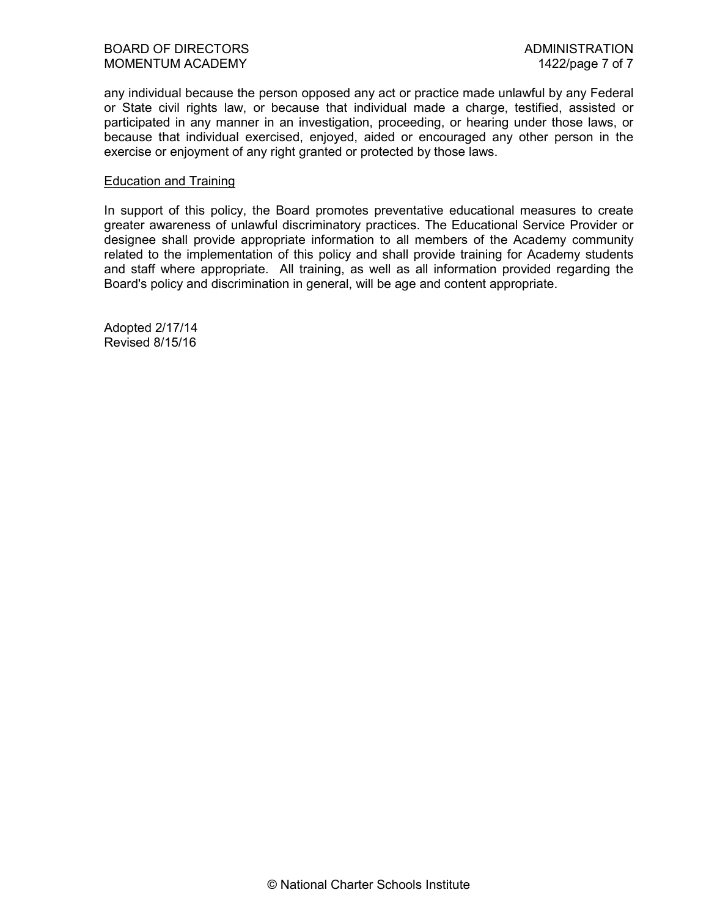any individual because the person opposed any act or practice made unlawful by any Federal or State civil rights law, or because that individual made a charge, testified, assisted or participated in any manner in an investigation, proceeding, or hearing under those laws, or because that individual exercised, enjoyed, aided or encouraged any other person in the exercise or enjoyment of any right granted or protected by those laws.

#### Education and Training

In support of this policy, the Board promotes preventative educational measures to create greater awareness of unlawful discriminatory practices. The Educational Service Provider or designee shall provide appropriate information to all members of the Academy community related to the implementation of this policy and shall provide training for Academy students and staff where appropriate. All training, as well as all information provided regarding the Board's policy and discrimination in general, will be age and content appropriate.

Adopted 2/17/14 Revised 8/15/16